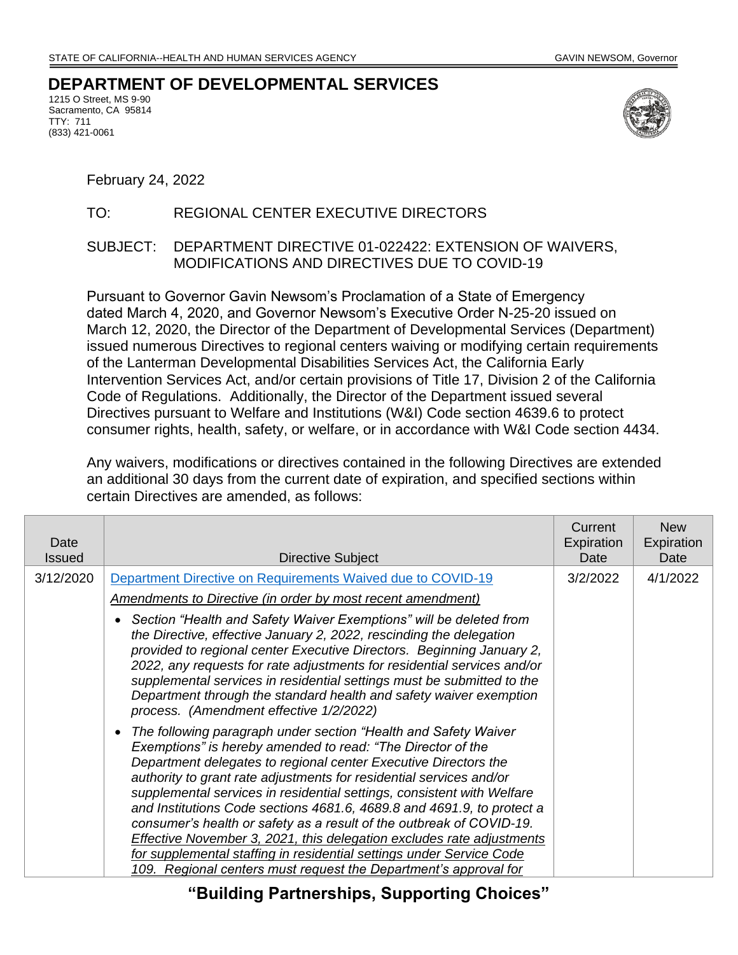## **DEPARTMENT OF DEVELOPMENTAL SERVICES**

1215 O Street, MS 9-90 Sacramento, CA 95814 TTY: 711 (833) 421-0061



February 24, 2022

## TO: REGIONAL CENTER EXECUTIVE DIRECTORS

## SUBJECT: DEPARTMENT DIRECTIVE 01-022422: EXTENSION OF WAIVERS, MODIFICATIONS AND DIRECTIVES DUE TO COVID-19

Pursuant to Governor Gavin Newsom's Proclamation of a State of Emergency dated March 4, 2020, and Governor Newsom's Executive Order N-25-20 issued on March 12, 2020, the Director of the Department of Developmental Services (Department) issued numerous Directives to regional centers waiving or modifying certain requirements of the Lanterman Developmental Disabilities Services Act, the California Early Intervention Services Act, and/or certain provisions of Title 17, Division 2 of the California Code of Regulations. Additionally, the Director of the Department issued several Directives pursuant to Welfare and Institutions (W&I) Code section 4639.6 to protect consumer rights, health, safety, or welfare, or in accordance with W&I Code section 4434.

Any waivers, modifications or directives contained in the following Directives are extended an additional 30 days from the current date of expiration, and specified sections within certain Directives are amended, as follows:

| Date<br><b>Issued</b> | Directive Subject                                                                                                                                                                                                                                                                                                                                                                                                                                                                                                                                                                                                                                                                                                         | Current<br>Expiration<br>Date | <b>New</b><br>Expiration<br>Date |
|-----------------------|---------------------------------------------------------------------------------------------------------------------------------------------------------------------------------------------------------------------------------------------------------------------------------------------------------------------------------------------------------------------------------------------------------------------------------------------------------------------------------------------------------------------------------------------------------------------------------------------------------------------------------------------------------------------------------------------------------------------------|-------------------------------|----------------------------------|
| 3/12/2020             | Department Directive on Requirements Waived due to COVID-19                                                                                                                                                                                                                                                                                                                                                                                                                                                                                                                                                                                                                                                               | 3/2/2022                      | 4/1/2022                         |
|                       | <b>Amendments to Directive (in order by most recent amendment)</b>                                                                                                                                                                                                                                                                                                                                                                                                                                                                                                                                                                                                                                                        |                               |                                  |
|                       | Section "Health and Safety Waiver Exemptions" will be deleted from<br>the Directive, effective January 2, 2022, rescinding the delegation<br>provided to regional center Executive Directors. Beginning January 2,<br>2022, any requests for rate adjustments for residential services and/or<br>supplemental services in residential settings must be submitted to the<br>Department through the standard health and safety waiver exemption<br>process. (Amendment effective 1/2/2022)                                                                                                                                                                                                                                  |                               |                                  |
|                       | The following paragraph under section "Health and Safety Waiver<br>Exemptions" is hereby amended to read: "The Director of the<br>Department delegates to regional center Executive Directors the<br>authority to grant rate adjustments for residential services and/or<br>supplemental services in residential settings, consistent with Welfare<br>and Institutions Code sections 4681.6, 4689.8 and 4691.9, to protect a<br>consumer's health or safety as a result of the outbreak of COVID-19.<br>Effective November 3, 2021, this delegation excludes rate adjustments<br>for supplemental staffing in residential settings under Service Code<br>109. Regional centers must request the Department's approval for |                               |                                  |

**"Building Partnerships, Supporting Choices"**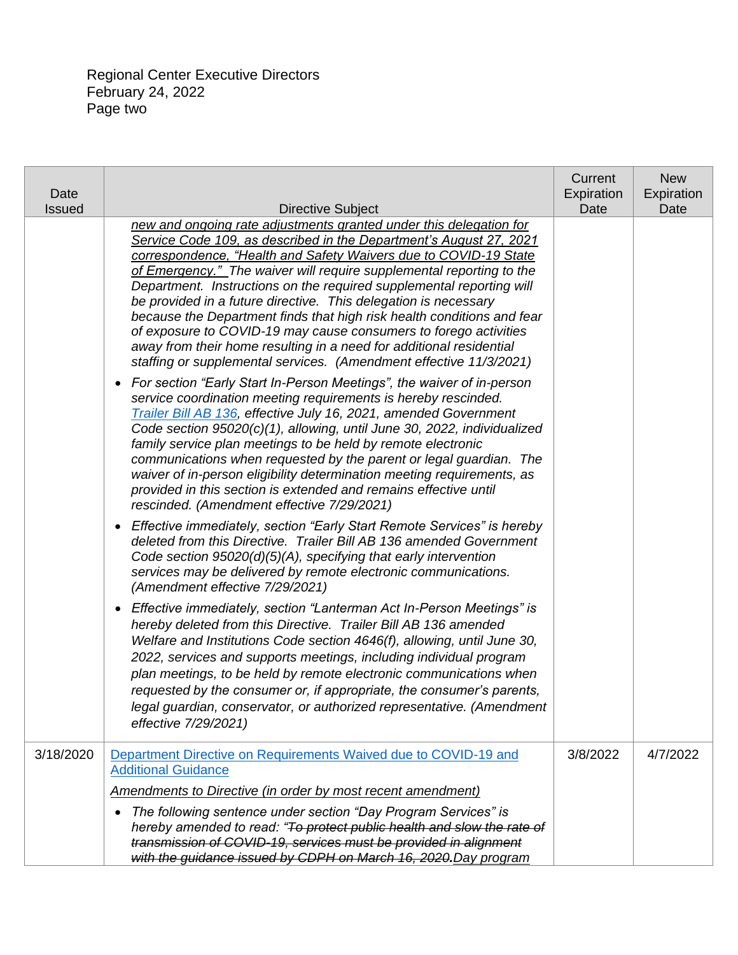Regional Center Executive Directors February 24, 2022 Page two

| Date<br><b>Issued</b> | <b>Directive Subject</b>                                                                                                                                                                                                                                                                                                                                                                                                                                                                                                                                                                                                                                                                                                   | Current<br>Expiration<br>Date | <b>New</b><br>Expiration<br>Date |
|-----------------------|----------------------------------------------------------------------------------------------------------------------------------------------------------------------------------------------------------------------------------------------------------------------------------------------------------------------------------------------------------------------------------------------------------------------------------------------------------------------------------------------------------------------------------------------------------------------------------------------------------------------------------------------------------------------------------------------------------------------------|-------------------------------|----------------------------------|
|                       | new and ongoing rate adjustments granted under this delegation for<br>Service Code 109, as described in the Department's August 27, 2021<br>correspondence, "Health and Safety Waivers due to COVID-19 State<br>of Emergency." The waiver will require supplemental reporting to the<br>Department. Instructions on the required supplemental reporting will<br>be provided in a future directive. This delegation is necessary<br>because the Department finds that high risk health conditions and fear<br>of exposure to COVID-19 may cause consumers to forego activities<br>away from their home resulting in a need for additional residential<br>staffing or supplemental services. (Amendment effective 11/3/2021) |                               |                                  |
|                       | For section "Early Start In-Person Meetings", the waiver of in-person<br>$\bullet$<br>service coordination meeting requirements is hereby rescinded.<br>Trailer Bill AB 136, effective July 16, 2021, amended Government<br>Code section 95020(c)(1), allowing, until June 30, 2022, individualized<br>family service plan meetings to be held by remote electronic<br>communications when requested by the parent or legal guardian. The<br>waiver of in-person eligibility determination meeting requirements, as<br>provided in this section is extended and remains effective until<br>rescinded. (Amendment effective 7/29/2021)                                                                                      |                               |                                  |
|                       | Effective immediately, section "Early Start Remote Services" is hereby<br>$\bullet$<br>deleted from this Directive. Trailer Bill AB 136 amended Government<br>Code section $95020(d)(5)(A)$ , specifying that early intervention<br>services may be delivered by remote electronic communications.<br>(Amendment effective 7/29/2021)                                                                                                                                                                                                                                                                                                                                                                                      |                               |                                  |
|                       | Effective immediately, section "Lanterman Act In-Person Meetings" is<br>$\bullet$<br>hereby deleted from this Directive. Trailer Bill AB 136 amended<br>Welfare and Institutions Code section 4646(f), allowing, until June 30,<br>2022, services and supports meetings, including individual program<br>plan meetings, to be held by remote electronic communications when<br>requested by the consumer or, if appropriate, the consumer's parents,<br>legal guardian, conservator, or authorized representative. (Amendment<br>effective 7/29/2021)                                                                                                                                                                      |                               |                                  |
| 3/18/2020             | Department Directive on Requirements Waived due to COVID-19 and<br><b>Additional Guidance</b>                                                                                                                                                                                                                                                                                                                                                                                                                                                                                                                                                                                                                              | 3/8/2022                      | 4/7/2022                         |
|                       | Amendments to Directive (in order by most recent amendment)                                                                                                                                                                                                                                                                                                                                                                                                                                                                                                                                                                                                                                                                |                               |                                  |
|                       | The following sentence under section "Day Program Services" is<br>$\bullet$<br>hereby amended to read: "To protect public health and slow the rate of<br>transmission of COVID-19, services must be provided in alignment<br>with the guidance issued by CDPH on March 16, 2020. Day program                                                                                                                                                                                                                                                                                                                                                                                                                               |                               |                                  |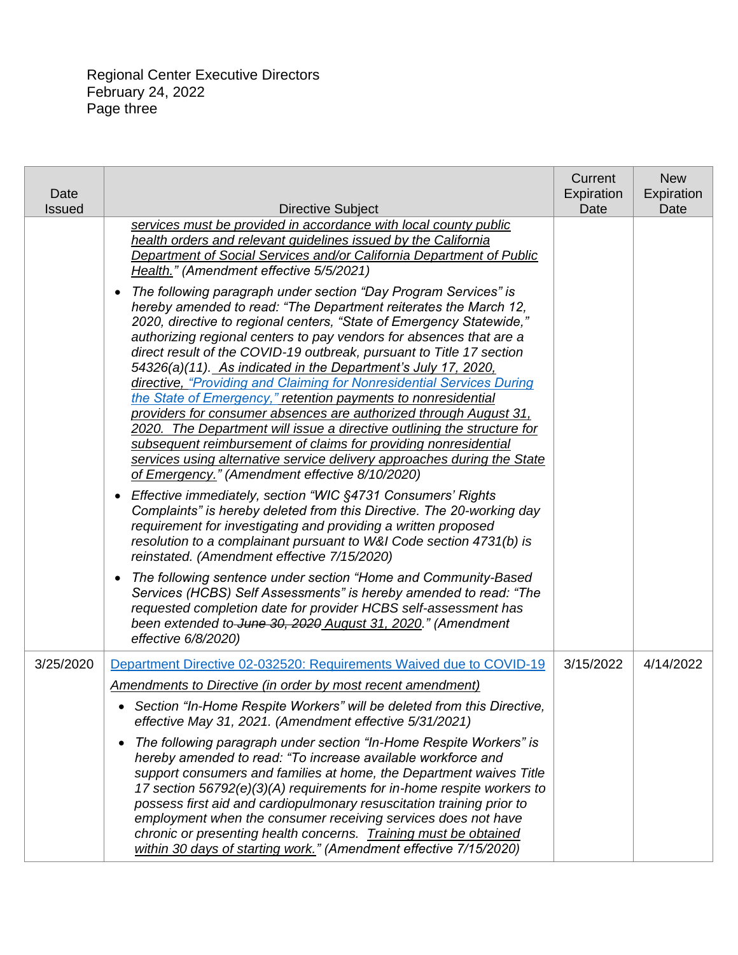| Date<br><b>Issued</b> | <b>Directive Subject</b>                                                                                                                                                                                                                                                                                                                                                                                                                                                                                                                                                                                                                                                                                                                                                                                                                                                                                                           | Current<br>Expiration<br>Date | <b>New</b><br>Expiration<br>Date |
|-----------------------|------------------------------------------------------------------------------------------------------------------------------------------------------------------------------------------------------------------------------------------------------------------------------------------------------------------------------------------------------------------------------------------------------------------------------------------------------------------------------------------------------------------------------------------------------------------------------------------------------------------------------------------------------------------------------------------------------------------------------------------------------------------------------------------------------------------------------------------------------------------------------------------------------------------------------------|-------------------------------|----------------------------------|
|                       | services must be provided in accordance with local county public<br>health orders and relevant guidelines issued by the California<br>Department of Social Services and/or California Department of Public<br>Health." (Amendment effective 5/5/2021)                                                                                                                                                                                                                                                                                                                                                                                                                                                                                                                                                                                                                                                                              |                               |                                  |
|                       | The following paragraph under section "Day Program Services" is<br>$\bullet$<br>hereby amended to read: "The Department reiterates the March 12,<br>2020, directive to regional centers, "State of Emergency Statewide,"<br>authorizing regional centers to pay vendors for absences that are a<br>direct result of the COVID-19 outbreak, pursuant to Title 17 section<br>54326(a)(11). As indicated in the Department's July 17, 2020,<br>directive, "Providing and Claiming for Nonresidential Services During<br>the State of Emergency," retention payments to nonresidential<br>providers for consumer absences are authorized through August 31,<br>2020. The Department will issue a directive outlining the structure for<br>subsequent reimbursement of claims for providing nonresidential<br>services using alternative service delivery approaches during the State<br>of Emergency." (Amendment effective 8/10/2020) |                               |                                  |
|                       | Effective immediately, section "WIC §4731 Consumers' Rights<br>$\bullet$<br>Complaints" is hereby deleted from this Directive. The 20-working day<br>requirement for investigating and providing a written proposed<br>resolution to a complainant pursuant to W&I Code section 4731(b) is<br>reinstated. (Amendment effective 7/15/2020)                                                                                                                                                                                                                                                                                                                                                                                                                                                                                                                                                                                          |                               |                                  |
|                       | The following sentence under section "Home and Community-Based<br>$\bullet$<br>Services (HCBS) Self Assessments" is hereby amended to read: "The<br>requested completion date for provider HCBS self-assessment has<br>been extended to June 30, 2020 August 31, 2020." (Amendment<br>effective 6/8/2020)                                                                                                                                                                                                                                                                                                                                                                                                                                                                                                                                                                                                                          |                               |                                  |
| 3/25/2020             | Department Directive 02-032520: Requirements Waived due to COVID-19                                                                                                                                                                                                                                                                                                                                                                                                                                                                                                                                                                                                                                                                                                                                                                                                                                                                | 3/15/2022                     | 4/14/2022                        |
|                       | <b>Amendments to Directive (in order by most recent amendment)</b><br>• Section "In-Home Respite Workers" will be deleted from this Directive,<br>effective May 31, 2021. (Amendment effective 5/31/2021)<br>The following paragraph under section "In-Home Respite Workers" is<br>$\bullet$<br>hereby amended to read: "To increase available workforce and<br>support consumers and families at home, the Department waives Title<br>17 section 56792(e)(3)(A) requirements for in-home respite workers to<br>possess first aid and cardiopulmonary resuscitation training prior to<br>employment when the consumer receiving services does not have<br>chronic or presenting health concerns. Training must be obtained<br>within 30 days of starting work." (Amendment effective 7/15/2020)                                                                                                                                    |                               |                                  |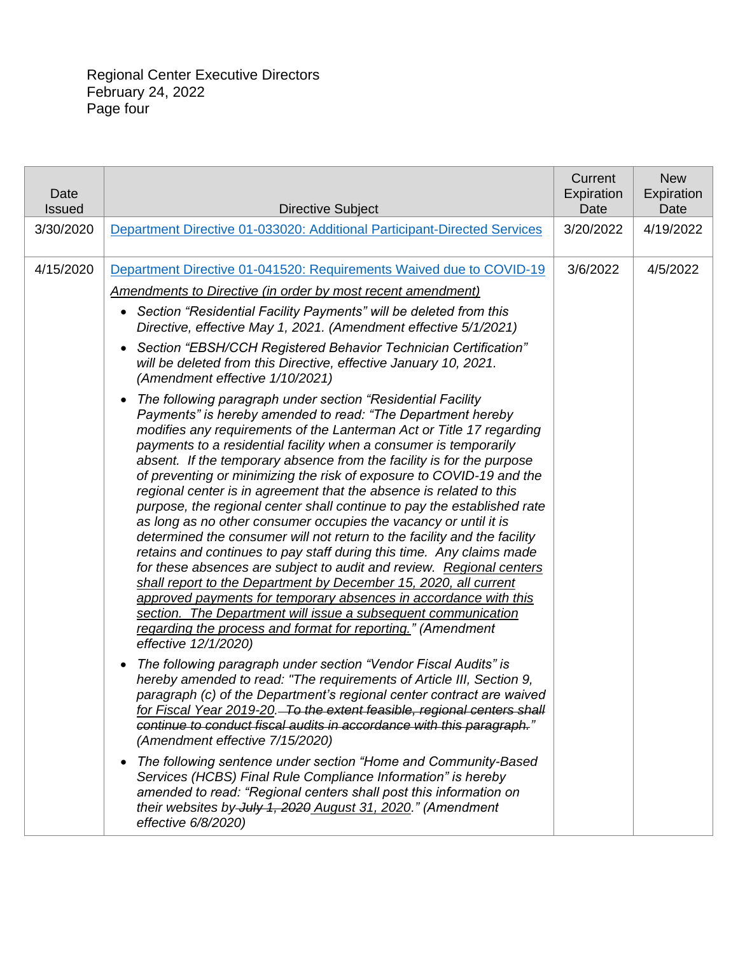| Date<br><b>Issued</b> | <b>Directive Subject</b>                                                                                                                                                                                                                                                                                                                                                                                                                                                                                                                                                                                                                                                                                                                                                                                                                                                                                                                                                                                                                                                                                                                                                                                                                                                                                                                                                                                                                                                                                                                                                                                                                                                   | Current<br>Expiration<br>Date | <b>New</b><br>Expiration<br>Date |
|-----------------------|----------------------------------------------------------------------------------------------------------------------------------------------------------------------------------------------------------------------------------------------------------------------------------------------------------------------------------------------------------------------------------------------------------------------------------------------------------------------------------------------------------------------------------------------------------------------------------------------------------------------------------------------------------------------------------------------------------------------------------------------------------------------------------------------------------------------------------------------------------------------------------------------------------------------------------------------------------------------------------------------------------------------------------------------------------------------------------------------------------------------------------------------------------------------------------------------------------------------------------------------------------------------------------------------------------------------------------------------------------------------------------------------------------------------------------------------------------------------------------------------------------------------------------------------------------------------------------------------------------------------------------------------------------------------------|-------------------------------|----------------------------------|
| 3/30/2020             | Department Directive 01-033020: Additional Participant-Directed Services                                                                                                                                                                                                                                                                                                                                                                                                                                                                                                                                                                                                                                                                                                                                                                                                                                                                                                                                                                                                                                                                                                                                                                                                                                                                                                                                                                                                                                                                                                                                                                                                   | 3/20/2022                     | 4/19/2022                        |
| 4/15/2020             | Department Directive 01-041520: Requirements Waived due to COVID-19<br>Amendments to Directive (in order by most recent amendment)<br>Section "Residential Facility Payments" will be deleted from this<br>$\bullet$<br>Directive, effective May 1, 2021. (Amendment effective 5/1/2021)<br>Section "EBSH/CCH Registered Behavior Technician Certification"<br>$\bullet$<br>will be deleted from this Directive, effective January 10, 2021.<br>(Amendment effective 1/10/2021)<br>The following paragraph under section "Residential Facility<br>$\bullet$<br>Payments" is hereby amended to read: "The Department hereby<br>modifies any requirements of the Lanterman Act or Title 17 regarding<br>payments to a residential facility when a consumer is temporarily<br>absent. If the temporary absence from the facility is for the purpose<br>of preventing or minimizing the risk of exposure to COVID-19 and the<br>regional center is in agreement that the absence is related to this<br>purpose, the regional center shall continue to pay the established rate<br>as long as no other consumer occupies the vacancy or until it is<br>determined the consumer will not return to the facility and the facility<br>retains and continues to pay staff during this time. Any claims made<br>for these absences are subject to audit and review. Regional centers<br>shall report to the Department by December 15, 2020, all current<br>approved payments for temporary absences in accordance with this<br>section. The Department will issue a subsequent communication<br>regarding the process and format for reporting." (Amendment<br>effective 12/1/2020) | 3/6/2022                      | 4/5/2022                         |
|                       | The following paragraph under section "Vendor Fiscal Audits" is<br>$\bullet$<br>hereby amended to read: "The requirements of Article III, Section 9,<br>paragraph (c) of the Department's regional center contract are waived<br>for Fiscal Year 2019-20. To the extent feasible, regional centers shall<br>continue to conduct fiscal audits in accordance with this paragraph."<br>(Amendment effective 7/15/2020)<br>The following sentence under section "Home and Community-Based<br>$\bullet$<br>Services (HCBS) Final Rule Compliance Information" is hereby<br>amended to read: "Regional centers shall post this information on<br>their websites by July 1, 2020 August 31, 2020." (Amendment<br>effective 6/8/2020)                                                                                                                                                                                                                                                                                                                                                                                                                                                                                                                                                                                                                                                                                                                                                                                                                                                                                                                                             |                               |                                  |